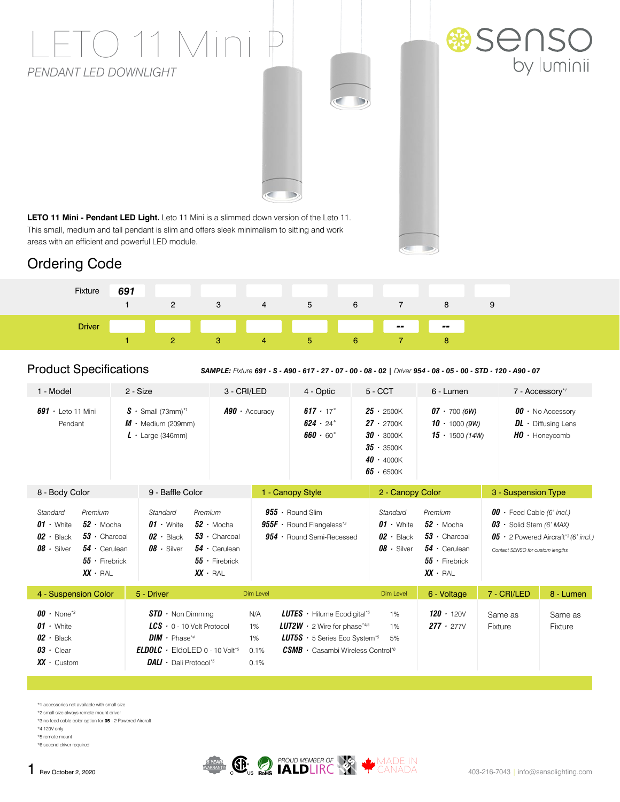# TO 11 Mini *PENDANT LED DOWNLIGHT*





**LETO 11 Mini - Pendant LED Light.** Leto 11 Mini is a slimmed down version of the Leto 11. This small, medium and tall pendant is slim and offers sleek minimalism to sitting and work areas with an efficient and powerful LED module.

## Ordering Code



#### Product Specifications

*SAMPLE: Fixture 691 - S - A90 - 617 - 27 - 07 - 00 - 08 - 02 | Driver 954 - 08 - 05 - 00 - STD - 120 - A90 - 07*

| 1 - Model                                                                                                                                                                                                                                                                                                                                                                                | 2 - Size                                                                                                                                                                                           | 3 - CRI/LED                     | 4 - Optic                                                                                                                                                                                                                            | $5 - CCT$                                                                                                    | 6 - Lumen                                                                                                           |                                                                                                                                                                  | 7 - Accessory*1                                                              |  |
|------------------------------------------------------------------------------------------------------------------------------------------------------------------------------------------------------------------------------------------------------------------------------------------------------------------------------------------------------------------------------------------|----------------------------------------------------------------------------------------------------------------------------------------------------------------------------------------------------|---------------------------------|--------------------------------------------------------------------------------------------------------------------------------------------------------------------------------------------------------------------------------------|--------------------------------------------------------------------------------------------------------------|---------------------------------------------------------------------------------------------------------------------|------------------------------------------------------------------------------------------------------------------------------------------------------------------|------------------------------------------------------------------------------|--|
| $691 \cdot$ Leto 11 Mini<br>Pendant                                                                                                                                                                                                                                                                                                                                                      | $S \cdot$ Small (73mm) <sup>*</sup><br>$M \cdot$ Medium (209mm)<br>Large (346mm)<br>Ŀ                                                                                                              | $A90 \cdot$ Accuracy            | $617 \cdot 17^{\circ}$<br>$624 \cdot 24$ °<br>$660 \cdot 60^{\circ}$                                                                                                                                                                 | $25 \cdot 2500K$<br>$27 \cdot 2700K$<br>$30 \cdot 3000K$<br>$35 - 3500K$<br>$40 \cdot 4000K$<br>$65 - 6500K$ | $07 - 700(6W)$<br>$10 \cdot 1000(9W)$<br>$15 \cdot 1500(14W)$                                                       |                                                                                                                                                                  | $00 \cdot$ No Accessory<br>$DL \cdot$ Diffusing Lens<br>$HO \cdot$ Honeycomb |  |
| 9 - Baffle Color<br>8 - Body Color                                                                                                                                                                                                                                                                                                                                                       |                                                                                                                                                                                                    |                                 | 1 - Canopy Style                                                                                                                                                                                                                     |                                                                                                              | 2 - Canopy Color                                                                                                    |                                                                                                                                                                  | 3 - Suspension Type                                                          |  |
| Standard<br>Premium<br>Standard<br>Premium<br>$52 \cdot$ Mocha<br>$01 \cdot$ White<br>$01 \cdot$ White<br>$52 \cdot$ Mocha<br>$02 \cdot$ Black<br>$53 \cdot$ Charcoal<br>$02 \cdot$ Black<br>$53 \cdot$ Charcoal<br>$08 \cdot$ Silver<br>$54 \cdot$ Cerulean<br>$08 \cdot$ Silver<br>$54 \cdot$ Cerulean<br>$55 -$ Firebrick<br>$55 \cdot$ Firebrick<br>$XX \cdot RAL$<br>$XX \cdot RAL$ |                                                                                                                                                                                                    |                                 | $955 \cdot$ Round Slim<br>$955F \cdot$ Round Flangeless <sup>*2</sup><br>$954 \cdot$ Round Semi-Recessed                                                                                                                             |                                                                                                              | Premium<br>$52 \cdot$ Mocha<br>$53 \cdot$ Charcoal<br>$54 \cdot$ Cerulean<br>$55 \cdot$ Firebrick<br>$XX \cdot RAL$ | $00 \cdot$ Feed Cable (6' incl.)<br>$03 \cdot$ Solid Stem (6' MAX)<br>$05 \cdot 2$ Powered Aircraft <sup>*3</sup> (6' incl.)<br>Contact SENSO for custom lengths |                                                                              |  |
| 4 - Suspension Color                                                                                                                                                                                                                                                                                                                                                                     | 5 - Driver                                                                                                                                                                                         | Dim Level                       |                                                                                                                                                                                                                                      | Dim Level                                                                                                    | 6 - Voltage                                                                                                         | 7 - CRI/LED                                                                                                                                                      | 8 - Lumen                                                                    |  |
| $00 \cdot$ None <sup>*3</sup><br>$01 \cdot$ White<br>$02 \cdot$ Black<br>$03 \cdot$ Clear<br>$XX \cdot$ Custom                                                                                                                                                                                                                                                                           | $STD \cdot$ Non Dimming<br>$LCS$ $\cdot$ 0 - 10 Volt Protocol<br>$DIM \cdot$ Phase*4<br><b>ELDOLC</b> $\cdot$ EldoLED 0 - 10 Volt <sup>*5</sup><br><b>DALI</b> $\cdot$ Dali Protocol <sup>*5</sup> | N/A<br>1%<br>1%<br>0.1%<br>0.1% | <b>LUTES</b> $\cdot$ Hilume Ecodigital <sup>*5</sup><br><b>LUT2W</b> $\cdot$ 2 Wire for phase*4/5<br><b>LUT5S</b> $\cdot$ 5 Series Eco System <sup>*5</sup><br>$\textit{CSMB}{}\cdot\textit{Casambi}$ Wireless Control <sup>*6</sup> | 1%<br>1%<br>5%                                                                                               | $120 \cdot 120V$<br>$277 \cdot 277V$                                                                                | Same as<br>Fixture                                                                                                                                               | Same as<br>Fixture                                                           |  |

\*1 accessories not available with small size

\*2 small size always remote mount driver \*3 no feed cable color option for **05** - 2 Powered Aircraft

\*4 120V only

\*5 remote mount

\*6 second driver required

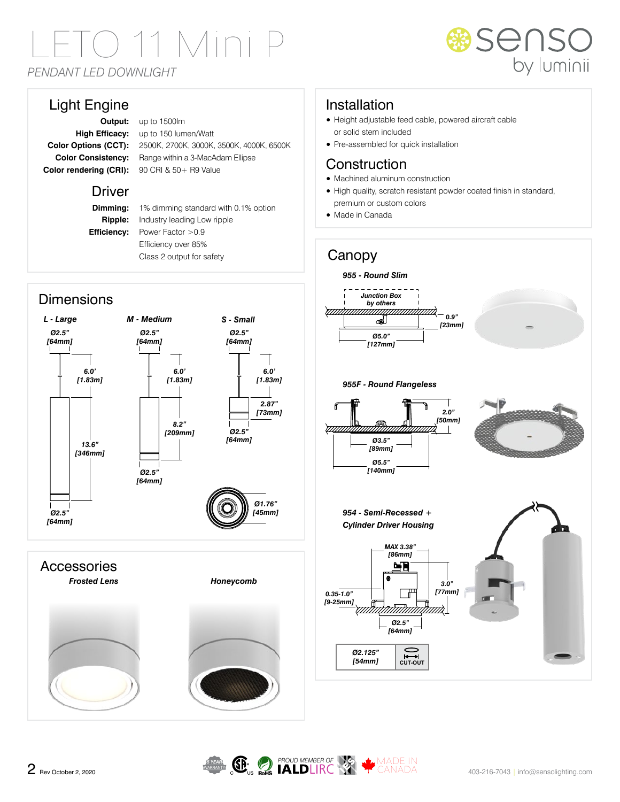# D 11 Mini *PENDANT LED DOWNLIGHT*



### Light Engine

**Output:** up to 1500lm **High Efficacy:** up to 150 lumen/Watt **Color Options (CCT):** 2500K, 2700K, 3000K, 3500K, 4000K, 6500K **Color Consistency:** Range within a 3-MacAdam Ellipse **Color rendering (CRI):** 90 CRI & 50+ R9 Value

#### Driver

**Dimming:** 1% dimming standard with 0.1% option **Ripple:** Industry leading Low ripple **Efficiency:** Power Factor > 0.9 Efficiency over 85% Class 2 output for safety

## Installation

- Height adjustable feed cable, powered aircraft cable or solid stem included
- Pre-assembled for quick installation

#### **Construction**

- Machined aluminum construction
- High quality, scratch resistant powder coated finish in standard, premium or custom colors
- Made in Canada

Canopy